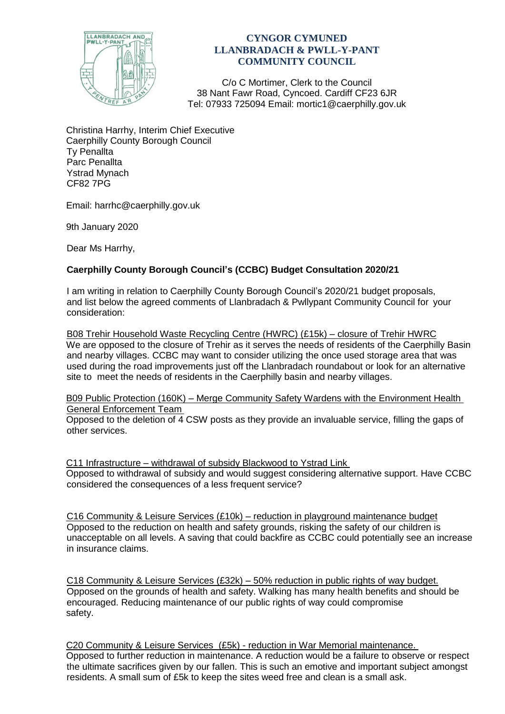

## **CYNGOR CYMUNED LLANBRADACH & PWLL-Y-PANT COMMUNITY COUNCIL**

C/o C Mortimer, Clerk to the Council 38 Nant Fawr Road, Cyncoed. Cardiff CF23 6JR Tel: 07933 725094 Email: mortic1@caerphilly.gov.uk

Christina Harrhy, Interim Chief Executive Caerphilly County Borough Council Ty Penallta Parc Penallta Ystrad Mynach CF82 7PG

Email: harrhc@caerphilly.gov.uk

9th January 2020

Dear Ms Harrhy,

## **Caerphilly County Borough Council's (CCBC) Budget Consultation 2020/21**

I am writing in relation to Caerphilly County Borough Council's 2020/21 budget proposals, and list below the agreed comments of Llanbradach & Pwllypant Community Council for your consideration:

B08 Trehir Household Waste Recycling Centre (HWRC) (£15k) – closure of Trehir HWRC We are opposed to the closure of Trehir as it serves the needs of residents of the Caerphilly Basin and nearby villages. CCBC may want to consider utilizing the once used storage area that was used during the road improvements just off the Llanbradach roundabout or look for an alternative site to meet the needs of residents in the Caerphilly basin and nearby villages.

B09 Public Protection (160K) – Merge Community Safety Wardens with the Environment Health General Enforcement Team

Opposed to the deletion of 4 CSW posts as they provide an invaluable service, filling the gaps of other services.

C11 Infrastructure – withdrawal of subsidy Blackwood to Ystrad Link Opposed to withdrawal of subsidy and would suggest considering alternative support. Have CCBC considered the consequences of a less frequent service?

C16 Community & Leisure Services (£10k) – reduction in playground maintenance budget Opposed to the reduction on health and safety grounds, risking the safety of our children is unacceptable on all levels. A saving that could backfire as CCBC could potentially see an increase in insurance claims.

C18 Community & Leisure Services (£32k) – 50% reduction in public rights of way budget. Opposed on the grounds of health and safety. Walking has many health benefits and should be encouraged. Reducing maintenance of our public rights of way could compromise safety.

C20 Community & Leisure Services (£5k) - reduction in War Memorial maintenance. Opposed to further reduction in maintenance. A reduction would be a failure to observe or respect the ultimate sacrifices given by our fallen. This is such an emotive and important subject amongst residents. A small sum of £5k to keep the sites weed free and clean is a small ask.